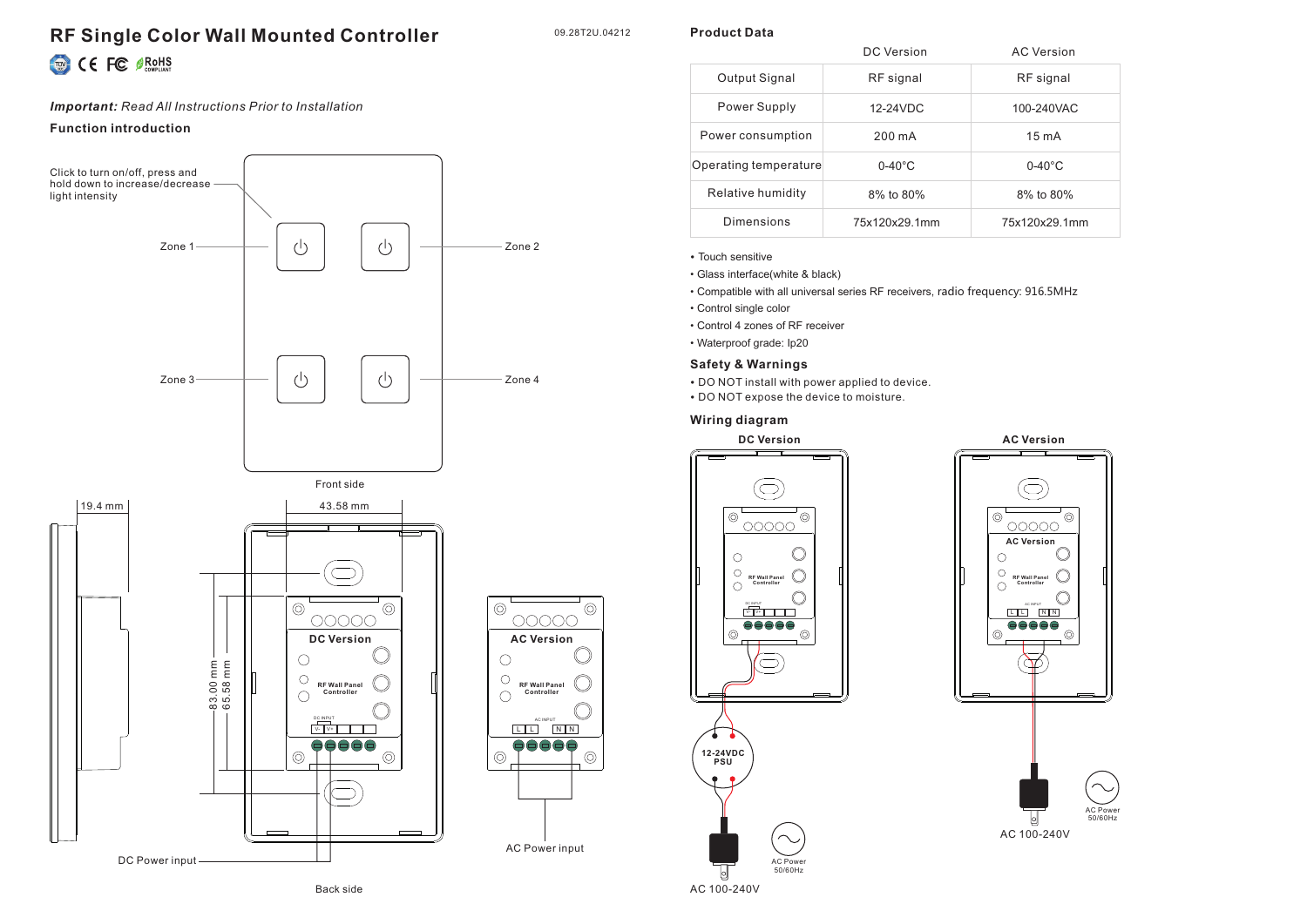# **RF Single Color Wall Mounted Controller**

09.28T2U.04212

**Product Data**

# CE FC SROHS

#### *Important: Read All Instructions Prior to Installation*

### **Function introduction**









|                       | DC Version       | <b>AC Version</b> |
|-----------------------|------------------|-------------------|
| Output Signal         | RF signal        | RF signal         |
| Power Supply          | 12-24VDC         | 100-240VAC        |
| Power consumption     | 200 mA           | $15 \text{ mA}$   |
| Operating temperature | $0-40^{\circ}$ C | $0-40^{\circ}$ C  |
| Relative humidity     | 8% to 80%        | 8% to 80%         |
| Dimensions            | 75x120x29.1mm    | 75x120x29.1mm     |

- Touch sensitive
- Glass interface(white & black)
- Compatible with all universal series RF receivers, radio frequency: 916.5MHz
- Control single color
- Control 4 zones of RF receiver
- Waterproof grade: Ip20

#### **Safety & Warnings**

- DO NOT install with power applied to device.
- DO NOT expose the device to moisture.

#### **Wiring diagram**